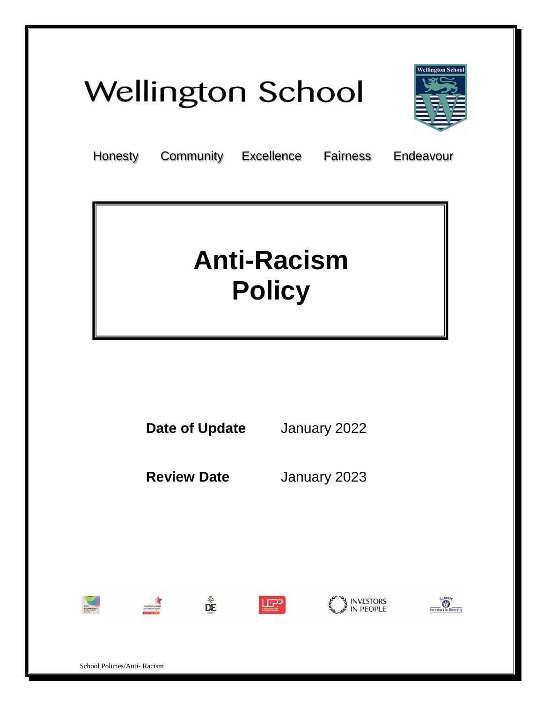# **Wellington School**



Honesty Community Excellence Fairness Endeavour

### **Anti-Racism Policy**

**Date of Update** January 2022

**Review Date** January 2023

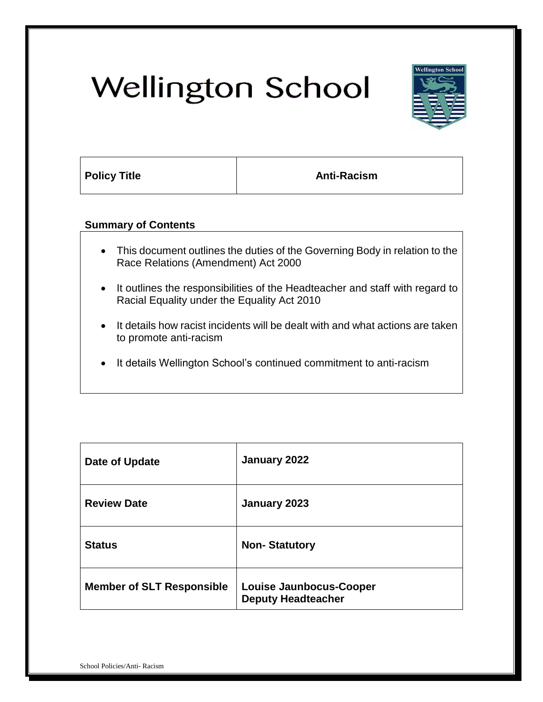# **Wellington School**



**Policy Title Contracts Anti-Racism** 

#### **Summary of Contents**

- This document outlines the duties of the Governing Body in relation to the Race Relations (Amendment) Act 2000
- It outlines the responsibilities of the Headteacher and staff with regard to Racial Equality under the Equality Act 2010
- It details how racist incidents will be dealt with and what actions are taken to promote anti-racism
- It details Wellington School's continued commitment to anti-racism

| Date of Update                   | January 2022                                         |
|----------------------------------|------------------------------------------------------|
| <b>Review Date</b>               | January 2023                                         |
| <b>Status</b>                    | <b>Non-Statutory</b>                                 |
| <b>Member of SLT Responsible</b> | Louise Jaunbocus-Cooper<br><b>Deputy Headteacher</b> |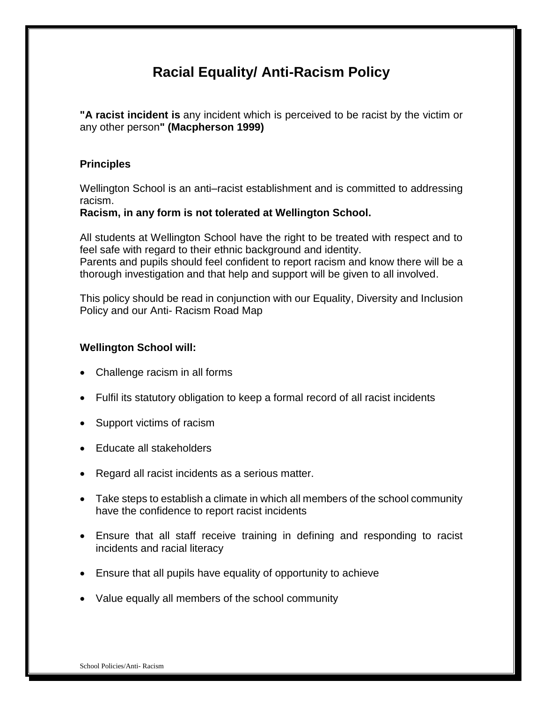### **Racial Equality/ Anti-Racism Policy**

**"A racist incident is** any incident which is perceived to be racist by the victim or any other person**" (Macpherson 1999)**

#### **Principles**

Wellington School is an anti–racist establishment and is committed to addressing racism.

#### **Racism, in any form is not tolerated at Wellington School.**

All students at Wellington School have the right to be treated with respect and to feel safe with regard to their ethnic background and identity. Parents and pupils should feel confident to report racism and know there will be a thorough investigation and that help and support will be given to all involved.

This policy should be read in conjunction with our Equality, Diversity and Inclusion Policy and our Anti- Racism Road Map

#### **Wellington School will:**

- Challenge racism in all forms
- Fulfil its statutory obligation to keep a formal record of all racist incidents
- Support victims of racism
- Educate all stakeholders
- Regard all racist incidents as a serious matter.
- Take steps to establish a climate in which all members of the school community have the confidence to report racist incidents
- Ensure that all staff receive training in defining and responding to racist incidents and racial literacy
- Ensure that all pupils have equality of opportunity to achieve
- Value equally all members of the school community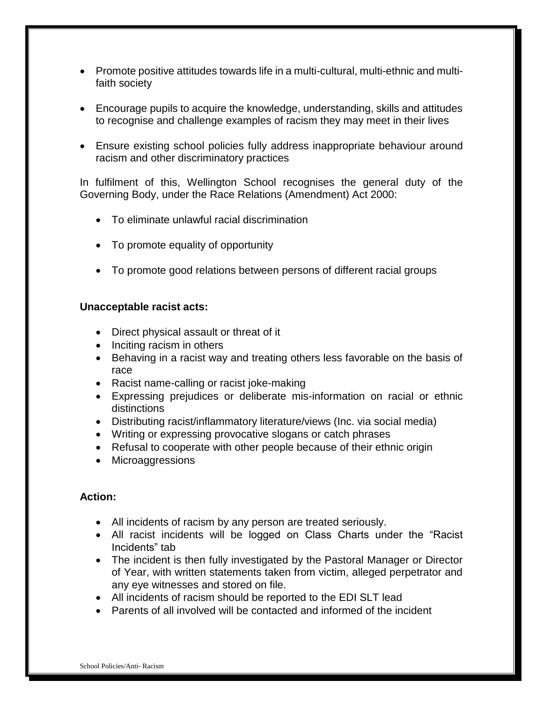- Promote positive attitudes towards life in a multi-cultural, multi-ethnic and multifaith society
- Encourage pupils to acquire the knowledge, understanding, skills and attitudes to recognise and challenge examples of racism they may meet in their lives
- Ensure existing school policies fully address inappropriate behaviour around racism and other discriminatory practices

In fulfilment of this, Wellington School recognises the general duty of the Governing Body, under the Race Relations (Amendment) Act 2000:

- To eliminate unlawful racial discrimination
- To promote equality of opportunity
- To promote good relations between persons of different racial groups

#### **Unacceptable racist acts:**

- Direct physical assault or threat of it
- Inciting racism in others
- Behaving in a racist way and treating others less favorable on the basis of race
- Racist name-calling or racist joke-making
- Expressing prejudices or deliberate mis-information on racial or ethnic distinctions
- Distributing racist/inflammatory literature/views (Inc. via social media)
- Writing or expressing provocative slogans or catch phrases
- Refusal to cooperate with other people because of their ethnic origin
- Microaggressions

#### **Action:**

- All incidents of racism by any person are treated seriously.
- All racist incidents will be logged on Class Charts under the "Racist Incidents" tab
- The incident is then fully investigated by the Pastoral Manager or Director of Year, with written statements taken from victim, alleged perpetrator and any eye witnesses and stored on file.
- All incidents of racism should be reported to the EDI SLT lead
- Parents of all involved will be contacted and informed of the incident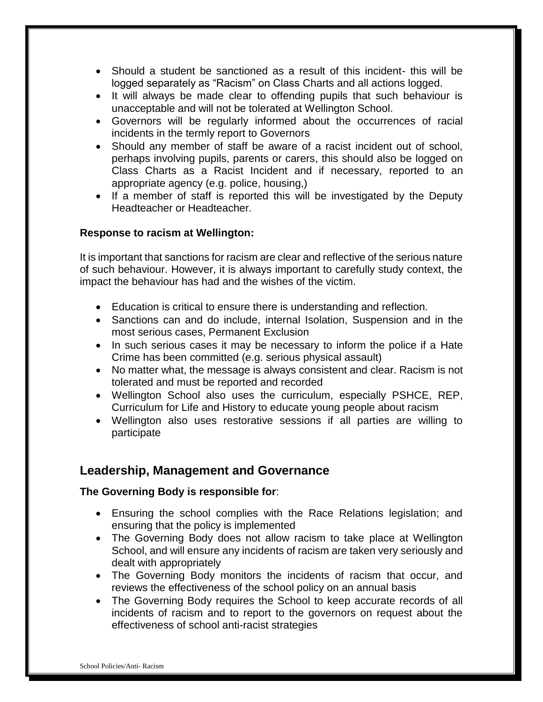- Should a student be sanctioned as a result of this incident- this will be logged separately as "Racism" on Class Charts and all actions logged.
- It will always be made clear to offending pupils that such behaviour is unacceptable and will not be tolerated at Wellington School.
- Governors will be regularly informed about the occurrences of racial incidents in the termly report to Governors
- Should any member of staff be aware of a racist incident out of school, perhaps involving pupils, parents or carers, this should also be logged on Class Charts as a Racist Incident and if necessary, reported to an appropriate agency (e.g. police, housing,)
- If a member of staff is reported this will be investigated by the Deputy Headteacher or Headteacher.

#### **Response to racism at Wellington:**

It is important that sanctions for racism are clear and reflective of the serious nature of such behaviour. However, it is always important to carefully study context, the impact the behaviour has had and the wishes of the victim.

- Education is critical to ensure there is understanding and reflection.
- Sanctions can and do include, internal Isolation, Suspension and in the most serious cases, Permanent Exclusion
- In such serious cases it may be necessary to inform the police if a Hate Crime has been committed (e.g. serious physical assault)
- No matter what, the message is always consistent and clear. Racism is not tolerated and must be reported and recorded
- Wellington School also uses the curriculum, especially PSHCE, REP, Curriculum for Life and History to educate young people about racism
- Wellington also uses restorative sessions if all parties are willing to participate

#### **Leadership, Management and Governance**

#### **The Governing Body is responsible for**:

- Ensuring the school complies with the Race Relations legislation; and ensuring that the policy is implemented
- The Governing Body does not allow racism to take place at Wellington School, and will ensure any incidents of racism are taken very seriously and dealt with appropriately
- The Governing Body monitors the incidents of racism that occur, and reviews the effectiveness of the school policy on an annual basis
- The Governing Body requires the School to keep accurate records of all incidents of racism and to report to the governors on request about the effectiveness of school anti-racist strategies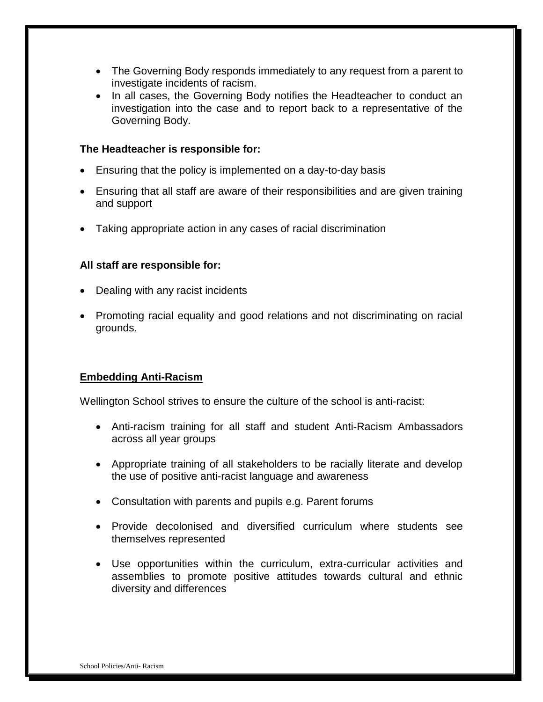- The Governing Body responds immediately to any request from a parent to investigate incidents of racism.
- In all cases, the Governing Body notifies the Headteacher to conduct an investigation into the case and to report back to a representative of the Governing Body.

#### **The Headteacher is responsible for:**

- Ensuring that the policy is implemented on a day-to-day basis
- Ensuring that all staff are aware of their responsibilities and are given training and support
- Taking appropriate action in any cases of racial discrimination

#### **All staff are responsible for:**

- Dealing with any racist incidents
- Promoting racial equality and good relations and not discriminating on racial grounds.

#### **Embedding Anti-Racism**

Wellington School strives to ensure the culture of the school is anti-racist:

- Anti-racism training for all staff and student Anti-Racism Ambassadors across all year groups
- Appropriate training of all stakeholders to be racially literate and develop the use of positive anti-racist language and awareness
- Consultation with parents and pupils e.g. Parent forums
- Provide decolonised and diversified curriculum where students see themselves represented
- Use opportunities within the curriculum, extra-curricular activities and assemblies to promote positive attitudes towards cultural and ethnic diversity and differences